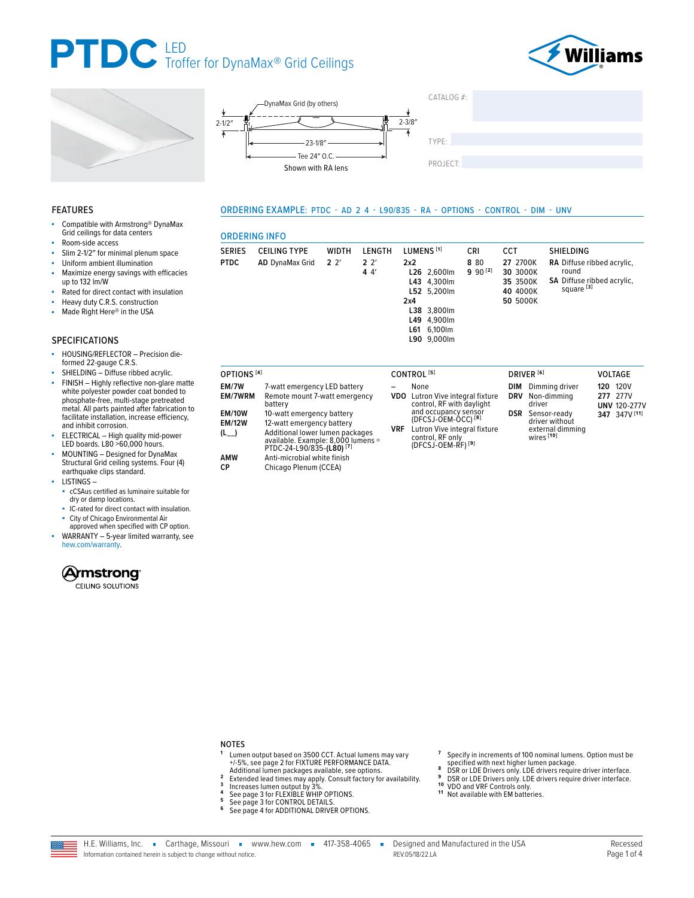# Troffer for DynaMax® Grid Ceilings





Compatible with Armstrong® DynaMax Grid ceilings for data centers

Slim 2-1/2" for minimal plenum space

Rated for direct contact with insulation Heavy duty C.R.S. construction Made Right Here<sup>®</sup> in the USA

HOUSING/REFLECTOR - Precision die-

Uniform ambient illumination Maximize energy savings with efficacies



### ORDERING EXAMPLE: PTDC - AD 2 4 - L90/835 - RA - OPTIONS - CONTROL - DIM - UNV

### **ORDERING INEO**

| URDERING INFU                                |                                                                                                                                 |              |                |            |                                                                                                                                   |                       |                                                          |                                                                             |                                                          |
|----------------------------------------------|---------------------------------------------------------------------------------------------------------------------------------|--------------|----------------|------------|-----------------------------------------------------------------------------------------------------------------------------------|-----------------------|----------------------------------------------------------|-----------------------------------------------------------------------------|----------------------------------------------------------|
| <b>SERIES</b>                                | <b>CEILING TYPE</b>                                                                                                             | WIDTH        | LENGTH         |            | LUMENS <sup>[1]</sup>                                                                                                             | <b>CRI</b>            | <b>CCT</b>                                               | <b>SHIELDING</b>                                                            |                                                          |
| <b>PTDC</b>                                  | <b>AD</b> DynaMax Grid                                                                                                          | $2^{\prime}$ | $2^{2}$<br>44' | 2x2<br>2x4 | L26 2,600lm<br>L43 4,300lm<br>L52 5,200lm<br>L38 3,800lm<br>4,900lm<br>L49<br>L61 6,100lm<br>L90 9,000lm                          | 8 8 0<br>$9.90^{[2]}$ | 27 2700K<br>30 3000K<br>35 3500K<br>40 4000K<br>50 5000K | round<br>square <sup>[3]</sup>                                              | RA Diffuse ribbed acrylic,<br>SA Diffuse ribbed acrylic, |
| OPTIONS <sup>[4]</sup>                       |                                                                                                                                 |              |                |            | CONTROL <sup>[5]</sup>                                                                                                            |                       |                                                          | DRIVER <sup>[6]</sup>                                                       | <b>VOLTAGE</b>                                           |
| EM/7W                                        | 7-watt emergency LED battery                                                                                                    |              | -              |            | None                                                                                                                              |                       | DIM                                                      | Dimming driver                                                              | 120V<br>120                                              |
| EM/7WRM                                      | Remote mount 7-watt emergency<br>battery                                                                                        |              |                | VDO.       | Lutron Vive integral fixture<br>control, RF with daylight                                                                         |                       | <b>DRV</b>                                               | Non-dimmina<br>driver                                                       | 277<br>277V<br><b>UNV 120-277\</b>                       |
| <b>EM/10W</b><br><b>EM/12W</b><br>$(L_{--})$ | 10-watt emergency battery<br>12-watt emergency battery<br>Additional lower lumen packages<br>available. Example: 8.000 lumens = |              |                | <b>VRF</b> | and occupancy sensor<br>(DFCSJ-OEM-OCC) <sup>[8]</sup><br>Lutron Vive integral fixture<br>control, RF only<br>$P = 201$ $P = 101$ |                       | <b>DSR</b>                                               | Sensor-ready<br>driver without<br>external dimming<br>wires <sup>[10]</sup> | 347 347V [11]                                            |

- ELECTRICAL High quality mid-power<br>LED boards. L80 >60,000 hours.
- MOUNTING Designed for DynaMax Structural Grid ceiling systems. Four (4) earthquake clips standard.
- LISTINGS-

**FEATURES** 

×

à.

×.

Room-side access

up to 132 Im/W

**SPECIFICATIONS** 

formed 22-gauge C.R.S. SHIELDING - Diffuse ribbed acrylic. FINISH - Highly reflective non-glare matte white polyester powder coat bonded to phosphate-free, multi-stage pretreated metal. All parts painted after fabrication to facilitate installation, increase efficiency,

and inhibit corrosion.

- cCSAus certified as luminaire suitable for dry or damp locations.
- IC-rated for direct contact with insulation.
- City of Chicago Environmental Air approved when specified with CP option.
- WARRANTY 5-year limited warranty, see hew.com/warranty.



### **NOTES**

AMW

C<sub>P</sub>

Lumen output based on 3500 CCT. Actual lumens may vary Limiten output based on 3500 CCT. Actual numeris may vary<br>+/-5%, see page 2 for FIXTURE PERFORMANCE DATA.<br>Additional lumen packages available, see options.<br>Extended lead times may apply. Consult factory for availability.<br>I

PTDC-24-L90/835-(L80)<sup>[7]</sup>

Anti-microbial white finish

Chicago Plenum (CCEA)

- $\overline{2}$
- $\mathbf 3$  $\pmb{4}$
- 5
- $\bf{6}$
- See page 3 for CONTROL DETAILS.<br>See page 3 for CONTROL DETAILS.<br>See page 4 for ADDITIONAL DRIVER OPTIONS.
- $\overline{7}$ Specify in increments of 100 nominal lumens. Option must be Specified with next higher lumen package.<br>
DSR or LDE Drivers only. LDE drivers require driver interface.<br>
DSR or LDE Drivers only. LDE drivers require driver interface.
- $\mathbf{R}$  $\mathbf{g}$
- 
- 10 DSK of LDE Directs bing. LDL at 10<br>10 VDO and VRF Controls only.<br>11 Not available with EM batteries.
- 
- 



H.E. Williams, Inc. Carthage, Missouri vww.hew.com 417-358-4065 -Designed and Manufactured in the USA RFV 05/18/22 | A Information contained herein is subject to change without notice

Recessed Page 1 of 4

control, RF only (DFCSJ-OEM-RF)<sup>[9]</sup>

| IVER <sup>[6]</sup> |                                                                             |  |
|---------------------|-----------------------------------------------------------------------------|--|
| и                   | Dimming driver                                                              |  |
| V                   | Non-dimming<br>driver                                                       |  |
| R                   | Sensor-ready<br>driver without<br>external dimming<br>wires <sup>[10]</sup> |  |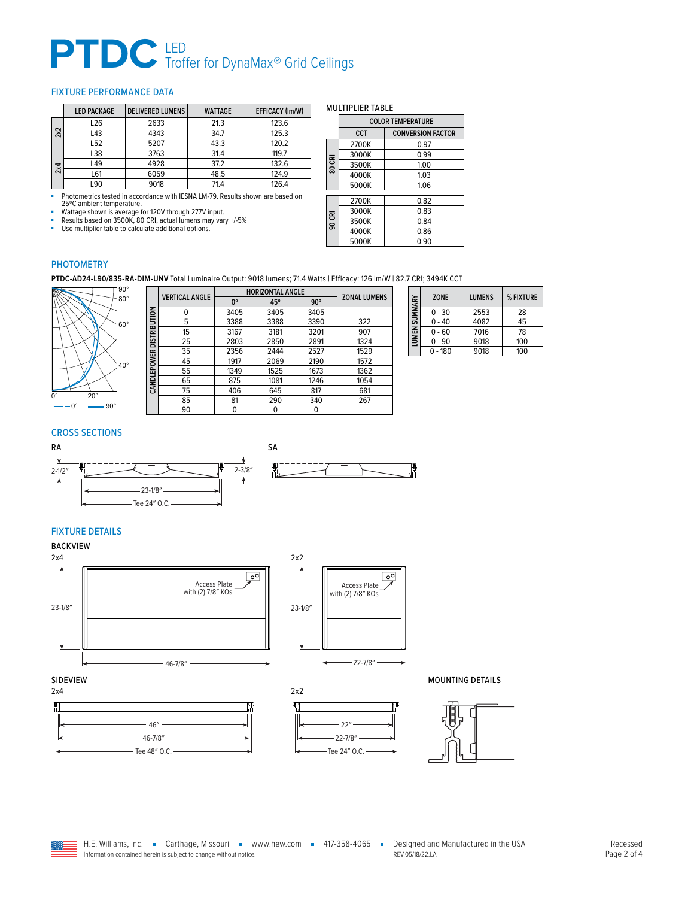# **PTDC** LED<br>Troffer for DynaMax® Grid Ceilings

### <span id="page-1-0"></span>FIXTURE PERFORMANCE DATA

|     | <b>LED PACKAGE</b> | <b>DELIVERED LUMENS</b> | <b>WATTAGE</b> | EFFICACY (Im/W) |
|-----|--------------------|-------------------------|----------------|-----------------|
|     | L26                | 2633                    | 21.3           | 123.6           |
| 2x2 | L43                | 4343                    | 34.7           | 125.3           |
|     | L52                | 5207                    | 43.3           | 120.2           |
|     | L38                | 3763                    | 31.4           | 119.7           |
| 2x4 | L49                | 4928                    | 37.2           | 132.6           |
|     | L61                | 6059                    | 48.5           | 124.9           |
|     | L90                | 9018                    | 71.4           | 126.4           |

■ Photometrics tested in accordance with IESNA LM-79. Results shown are based on 25ºC ambient temperature.

■ Wattage shown is average for 120V through 277V input.<br>■ Results based on 3500K, 80 CRI, actual lumens may vary +/-5%<br>■ Use multiplier table to calculate additional options.

 $\Box$ 

|        | <b>MULTIPLIER TABLE</b>  |                          |  |  |
|--------|--------------------------|--------------------------|--|--|
|        | <b>COLOR TEMPERATURE</b> |                          |  |  |
|        | <b>CCT</b>               | <b>CONVERSION FACTOR</b> |  |  |
|        | 2700K                    | 0.97                     |  |  |
|        | 3000K                    | 0.99                     |  |  |
| 80 CRI | 3500K                    | 1.00                     |  |  |
|        | 4000K                    | 1.03                     |  |  |
|        | 5000K                    | 1.06                     |  |  |
|        | 2700K                    | 0.82                     |  |  |
|        | 3000K                    | 0.83                     |  |  |
| 90 CRI | 3500K                    | 0.84                     |  |  |
|        | 4000K                    | 0.86                     |  |  |
|        | 5000K                    | 0.90                     |  |  |

### **PHOTOMETRY**

**PTDC-AD24-L90/835-RA-DIM-UNV** Total Luminaire Output: 9018 lumens; 71.4 Watts | Efficacy: 126 lm/W | 82.7 CRI; 3494K CCT



|  |                     | <b>VERTICAL ANGLE</b> | <b>HORIZONTAL ANGLE</b> | <b>ZONAL LUMENS</b> |            |      |
|--|---------------------|-----------------------|-------------------------|---------------------|------------|------|
|  |                     |                       | 0°                      | 45°                 | $90^\circ$ |      |
|  |                     | 0                     | 3405                    | 3405                | 3405       |      |
|  |                     | 5                     | 3388                    | 3388                | 3390       | 322  |
|  | <b>DISTRIBUTION</b> | 15                    | 3167                    | 3181                | 3201       | 907  |
|  |                     | 25                    | 2803                    | 2850                | 2891       | 1324 |
|  |                     | 35                    | 2356                    | 2444                | 2527       | 1529 |
|  |                     | 45                    | 1917                    | 2069                | 2190       | 1572 |
|  | CANDLEPOWER         | 55                    | 1349                    | 1525                | 1673       | 1362 |
|  |                     | 65                    | 875                     | 1081                | 1246       | 1054 |
|  |                     | 75                    | 406                     | 645                 | 817        | 681  |
|  |                     | 85                    | 81                      | 290                 | 340        | 267  |
|  |                     | 90                    | 0                       | 0                   | 0          |      |

| LUMEN SUMMARY | <b>ZONE</b> | <b>LUMENS</b> | % FIXTURE |
|---------------|-------------|---------------|-----------|
|               | $0 - 30$    | 2553          | 28        |
|               | $0 - 40$    | 4082          | 45        |
|               | $0 - 60$    | 7016          | 78        |
|               | $0 - 90$    | 9018          | 100       |
|               | $-180$      | 9018          | 100       |

## CROSS SECTIONS





## FIXTURE DETAILS

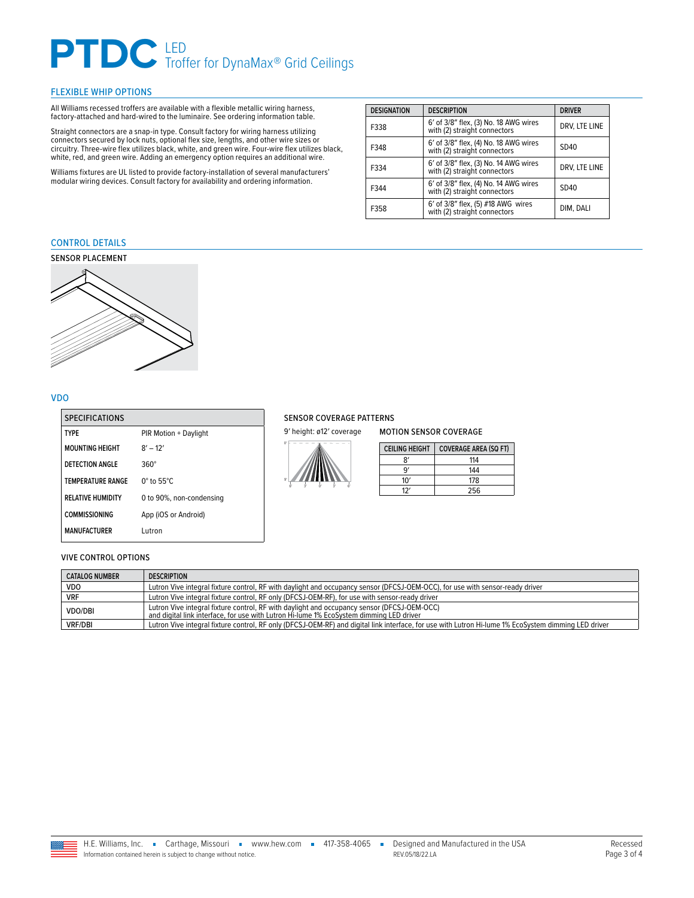# **PTDC** LED<br>Troffer for DynaMax® Grid Ceilings

### <span id="page-2-0"></span>FLEXIBLE WHIP OPTIONS

All Williams recessed troffers are available with a flexible metallic wiring harness, factory-attached and hard-wired to the luminaire. See ordering information table.

Straight connectors are a snap-in type. Consult factory for wiring harness utilizing connectors secured by lock nuts, optional flex size, lengths, and other wire sizes or circuitry. Three-wire flex utilizes black, white, and green wire. Four-wire flex utilizes black, white, red, and green wire. Adding an emergency option requires an additional wire.

Williams fixtures are UL listed to provide factory-installation of several manufacturers' modular wiring devices. Consult factory for availability and ordering information.

| <b>DESIGNATION</b> | <b>DESCRIPTION</b>                                                    | <b>DRIVER</b> |
|--------------------|-----------------------------------------------------------------------|---------------|
| F338               | 6' of 3/8" flex, (3) No. 18 AWG wires<br>with (2) straight connectors | DRV, LTE LINE |
| F348               | 6' of 3/8" flex, (4) No. 18 AWG wires<br>with (2) straight connectors | SD40          |
| F334               | 6' of 3/8" flex, (3) No. 14 AWG wires<br>with (2) straight connectors | DRV, LTE LINE |
| F344               | 6' of 3/8" flex, (4) No. 14 AWG wires<br>with (2) straight connectors | SD40          |
| F358               | 6' of 3/8" flex, (5) #18 AWG wires<br>with (2) straight connectors    | DIM. DALI     |

### <span id="page-2-1"></span>CONTROL DETAILS





### VDO

| <b>SPECIFICATIONS</b>    |                             |
|--------------------------|-----------------------------|
| <b>TYPF</b>              | PIR Motion + Daylight       |
| <b>MOUNTING HEIGHT</b>   | $8' - 12'$                  |
| DETECTION ANGLE          | $360^\circ$                 |
| <b>TEMPERATURE RANGE</b> | $0^\circ$ to 55 $^\circ$ C. |
| <b>RELATIVE HUMIDITY</b> | 0 to 90%, non-condensing    |
| COMMISSIONING            | App (iOS or Android)        |
| MANUFACTURER             | Lutron                      |

### SENSOR COVERAGE PATTERNS

9' height: ø12' coverage



| <b>CEILING HEIGHT</b> | <b>COVERAGE AREA (SQ FT)</b> |
|-----------------------|------------------------------|
|                       | 114                          |
|                       | 144                          |
| 10'                   | 178                          |
|                       | 256                          |

MOTION SENSOR COVERAGE

#### VIVE CONTROL OPTIONS

| <b>CATALOG NUMBER</b> | <b>DESCRIPTION</b>                                                                                                                                                                       |
|-----------------------|------------------------------------------------------------------------------------------------------------------------------------------------------------------------------------------|
| <b>VDO</b>            | Lutron Vive integral fixture control, RF with daylight and occupancy sensor (DFCSJ-OEM-OCC), for use with sensor-ready driver                                                            |
| <b>VRF</b>            | Lutron Vive integral fixture control, RF only (DFCSJ-OEM-RF), for use with sensor-ready driver                                                                                           |
| VDO/DBI               | Lutron Vive integral fixture control, RF with daylight and occupancy sensor (DFCSJ-OEM-OCC)<br>  and digital link interface, for use with Lutron Hi-Iume 1% EcoSystem dimming LED driver |
| <b>VRF/DBI</b>        | Lutron Vive integral fixture control, RF only (DFCSJ-OEM-RF) and digital link interface, for use with Lutron Hi-lume 1% EcoSystem dimming LED driver                                     |